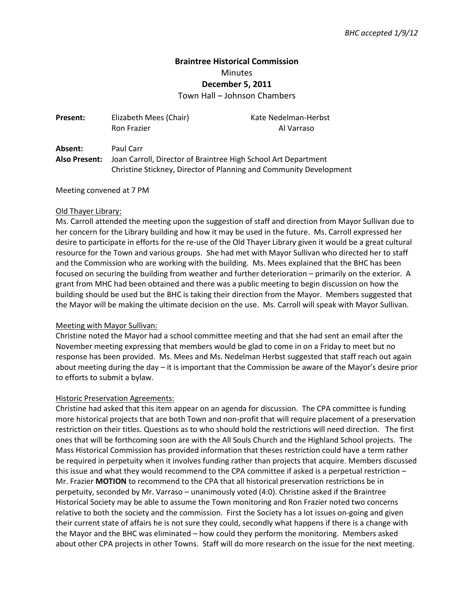# **Braintree Historical Commission**  Minutes **December 5, 2011**

Town Hall – Johnson Chambers

| <b>Present:</b> | Elizabeth Mees (Chair)<br>Ron Frazier                              | Kate Nedelman-Herbst<br>Al Varraso |
|-----------------|--------------------------------------------------------------------|------------------------------------|
| Absent:         | Paul Carr                                                          |                                    |
| Also Present:   | Joan Carroll, Director of Braintree High School Art Department     |                                    |
|                 | Christine Stickney, Director of Planning and Community Development |                                    |

Meeting convened at 7 PM

## Old Thayer Library:

Ms. Carroll attended the meeting upon the suggestion of staff and direction from Mayor Sullivan due to her concern for the Library building and how it may be used in the future. Ms. Carroll expressed her desire to participate in efforts for the re-use of the Old Thayer Library given it would be a great cultural resource for the Town and various groups. She had met with Mayor Sullivan who directed her to staff and the Commission who are working with the building. Ms. Mees explained that the BHC has been focused on securing the building from weather and further deterioration – primarily on the exterior. A grant from MHC had been obtained and there was a public meeting to begin discussion on how the building should be used but the BHC is taking their direction from the Mayor. Members suggested that the Mayor will be making the ultimate decision on the use. Ms. Carroll will speak with Mayor Sullivan.

## Meeting with Mayor Sullivan:

Christine noted the Mayor had a school committee meeting and that she had sent an email after the November meeting expressing that members would be glad to come in on a Friday to meet but no response has been provided. Ms. Mees and Ms. Nedelman Herbst suggested that staff reach out again about meeting during the day – it is important that the Commission be aware of the Mayor's desire prior to efforts to submit a bylaw.

## Historic Preservation Agreements:

Christine had asked that this item appear on an agenda for discussion. The CPA committee is funding more historical projects that are both Town and non-profit that will require placement of a preservation restriction on their titles. Questions as to who should hold the restrictions will need direction. The first ones that will be forthcoming soon are with the All Souls Church and the Highland School projects. The Mass Historical Commission has provided information that theses restriction could have a term rather be required in perpetuity when it involves funding rather than projects that acquire. Members discussed this issue and what they would recommend to the CPA committee if asked is a perpetual restriction – Mr. Frazier **MOTION** to recommend to the CPA that all historical preservation restrictions be in perpetuity, seconded by Mr. Varraso – unanimously voted (4:0). Christine asked if the Braintree Historical Society may be able to assume the Town monitoring and Ron Frazier noted two concerns relative to both the society and the commission. First the Society has a lot issues on-going and given their current state of affairs he is not sure they could, secondly what happens if there is a change with the Mayor and the BHC was eliminated – how could they perform the monitoring. Members asked about other CPA projects in other Towns. Staff will do more research on the issue for the next meeting.